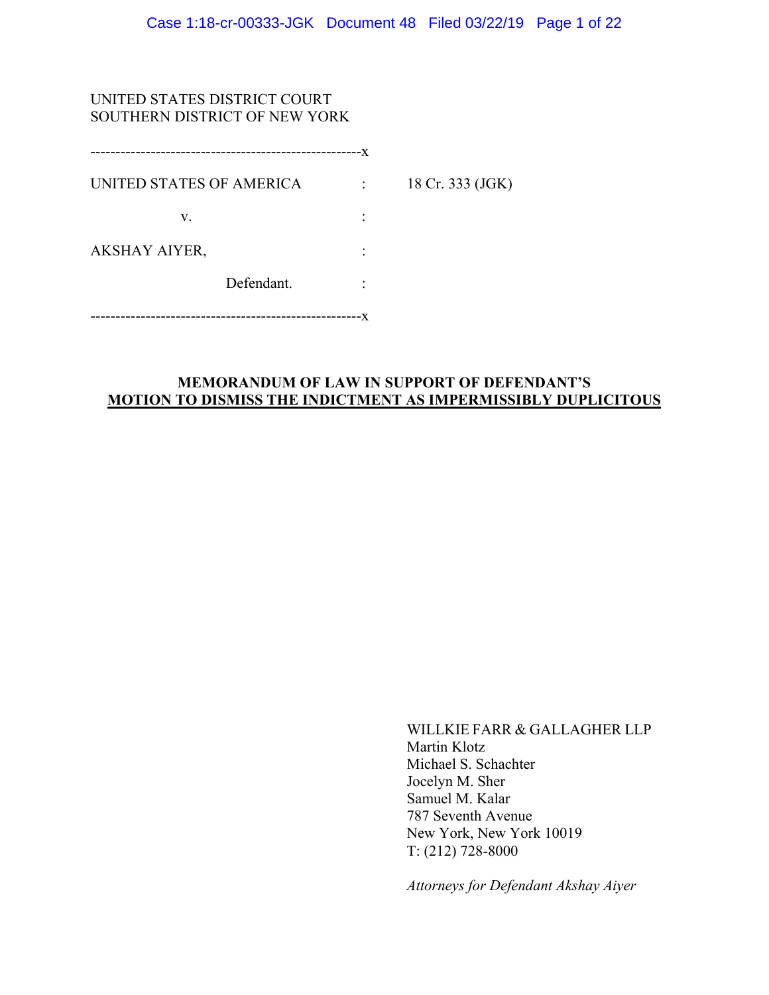# UNITED STATES DISTRICT COURT SOUTHERN DISTRICT OF NEW YORK

| ------------------------------------- | -X |                  |
|---------------------------------------|----|------------------|
| UNITED STATES OF AMERICA              |    | 18 Cr. 333 (JGK) |
| V.                                    |    |                  |
| AKSHAY AIYER,                         |    |                  |
| Defendant.                            |    |                  |
| ----------------                      |    |                  |

# **MEMORANDUM OF LAW IN SUPPORT OF DEFENDANT'S MOTION TO DISMISS THE INDICTMENT AS IMPERMISSIBLY DUPLICITOUS**

WILLKIE FARR & GALLAGHER LLP Martin Klotz Michael S. Schachter Jocelyn M. Sher Samuel M. Kalar 787 Seventh Avenue New York, New York 10019 T: (212) 728-8000

*Attorneys for Defendant Akshay Aiyer*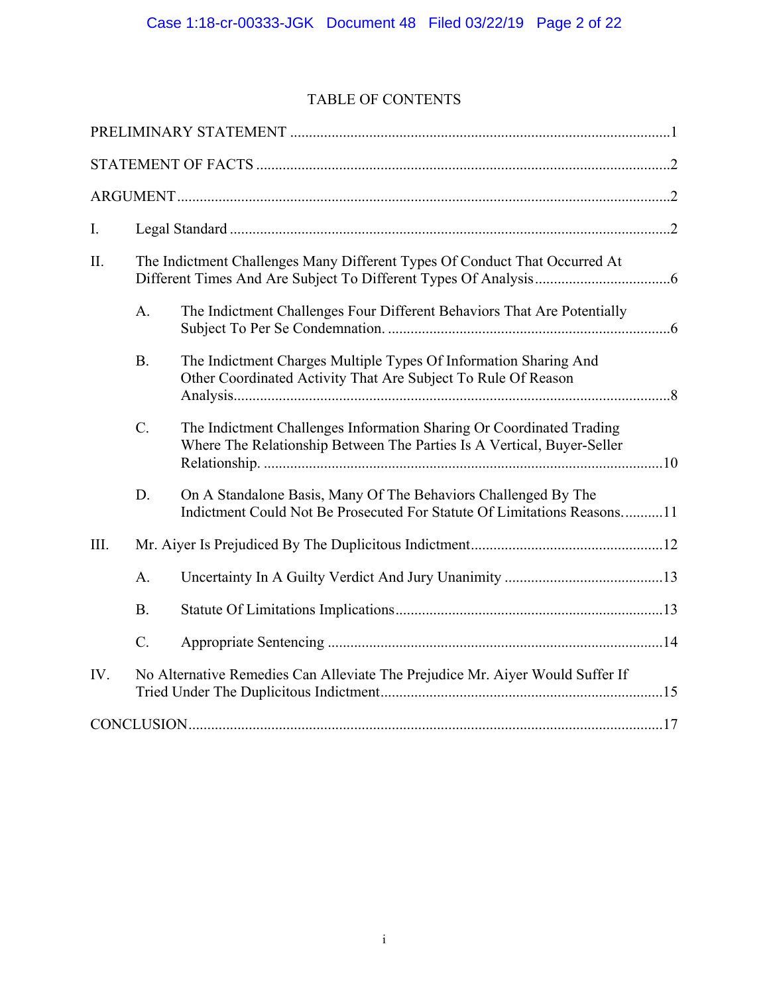# TABLE OF CONTENTS

| I.      |                 |                                                                                                                                                |  |
|---------|-----------------|------------------------------------------------------------------------------------------------------------------------------------------------|--|
| $\prod$ |                 | The Indictment Challenges Many Different Types Of Conduct That Occurred At                                                                     |  |
|         | A.              | The Indictment Challenges Four Different Behaviors That Are Potentially                                                                        |  |
|         | B.              | The Indictment Charges Multiple Types Of Information Sharing And<br>Other Coordinated Activity That Are Subject To Rule Of Reason              |  |
|         | $C$ .           | The Indictment Challenges Information Sharing Or Coordinated Trading<br>Where The Relationship Between The Parties Is A Vertical, Buyer-Seller |  |
|         | D.              | On A Standalone Basis, Many Of The Behaviors Challenged By The<br>Indictment Could Not Be Prosecuted For Statute Of Limitations Reasons11      |  |
| III.    |                 |                                                                                                                                                |  |
|         | A.              |                                                                                                                                                |  |
|         | B.              |                                                                                                                                                |  |
|         | $\mathcal{C}$ . |                                                                                                                                                |  |
| IV.     |                 | No Alternative Remedies Can Alleviate The Prejudice Mr. Aiyer Would Suffer If                                                                  |  |
|         |                 |                                                                                                                                                |  |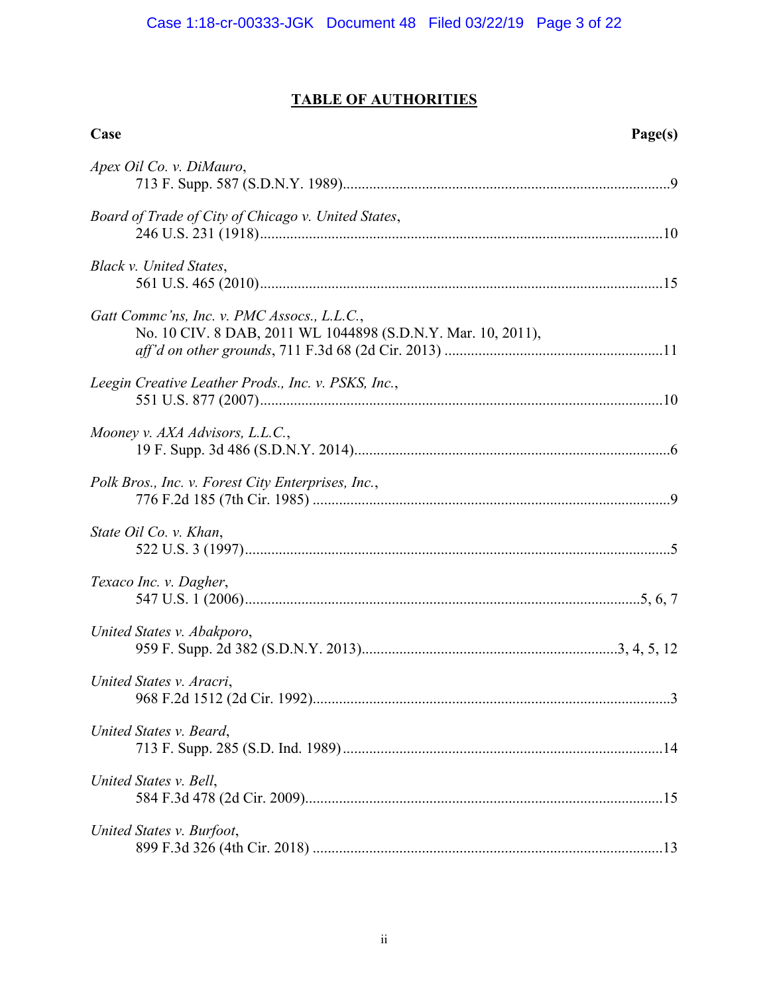# **TABLE OF AUTHORITIES**

| Case                                                                                                        | Page(s) |
|-------------------------------------------------------------------------------------------------------------|---------|
| Apex Oil Co. v. DiMauro,                                                                                    |         |
| Board of Trade of City of Chicago v. United States,                                                         |         |
| Black v. United States,                                                                                     |         |
| Gatt Comme'ns, Inc. v. PMC Assocs., L.L.C.,<br>No. 10 CIV. 8 DAB, 2011 WL 1044898 (S.D.N.Y. Mar. 10, 2011), |         |
| Leegin Creative Leather Prods., Inc. v. PSKS, Inc.,                                                         |         |
| Mooney v. AXA Advisors, L.L.C.,                                                                             |         |
| Polk Bros., Inc. v. Forest City Enterprises, Inc.,                                                          |         |
| State Oil Co. v. Khan,                                                                                      |         |
| Texaco Inc. v. Dagher,                                                                                      |         |
| United States v. Abakporo,                                                                                  |         |
| United States v. Aracri,                                                                                    |         |
| United States v. Beard,                                                                                     |         |
| United States v. Bell,                                                                                      |         |
| United States v. Burfoot,                                                                                   |         |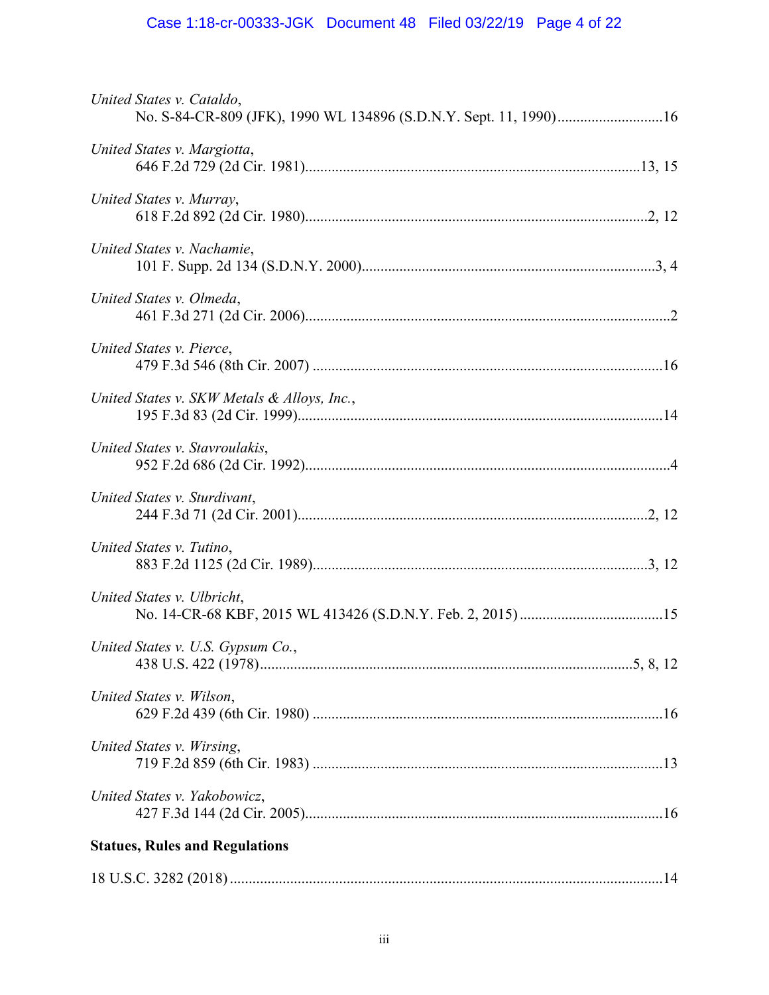# Case 1:18-cr-00333-JGK Document 48 Filed 03/22/19 Page 4 of 22

| United States v. Cataldo,                   |  |
|---------------------------------------------|--|
| United States v. Margiotta,                 |  |
| United States v. Murray,                    |  |
| United States v. Nachamie,                  |  |
| United States v. Olmeda,                    |  |
| United States v. Pierce,                    |  |
| United States v. SKW Metals & Alloys, Inc., |  |
| United States v. Stavroulakis,              |  |
| United States v. Sturdivant,                |  |
| United States v. Tutino,                    |  |
| United States v. Ulbricht,                  |  |
| United States v. U.S. Gypsum Co.,           |  |
| United States v. Wilson,                    |  |
| United States v. Wirsing,                   |  |
| United States v. Yakobowicz,                |  |
| <b>Statues, Rules and Regulations</b>       |  |
|                                             |  |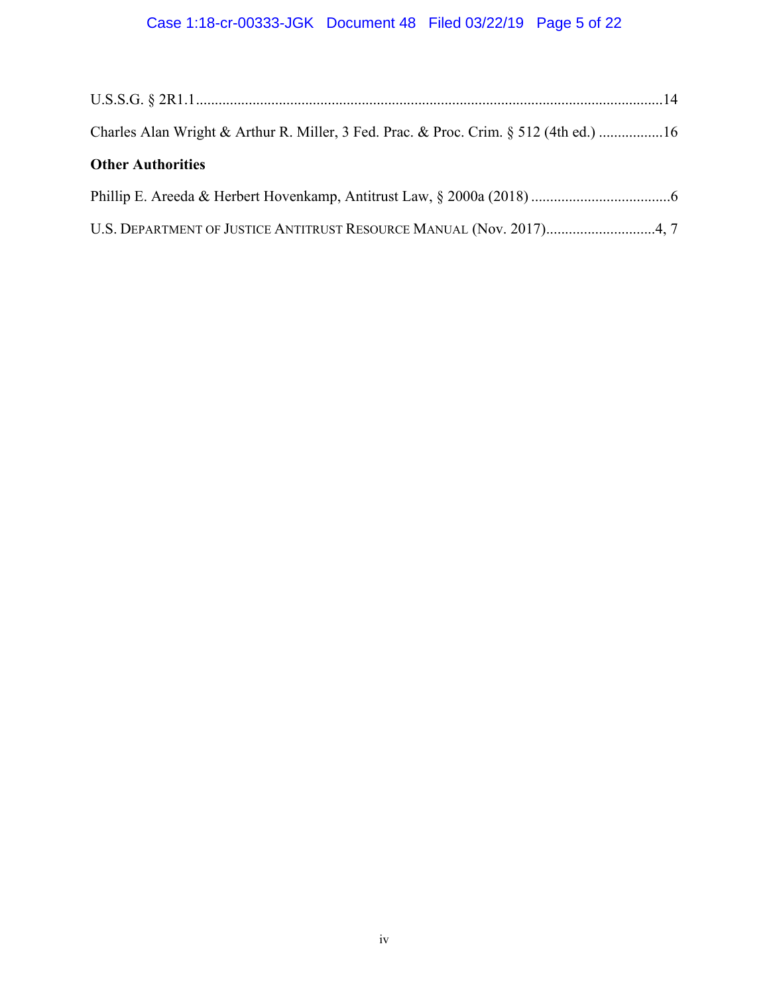# Case 1:18-cr-00333-JGK Document 48 Filed 03/22/19 Page 5 of 22

| Charles Alan Wright & Arthur R. Miller, 3 Fed. Prac. & Proc. Crim. § 512 (4th ed.) 16 |  |
|---------------------------------------------------------------------------------------|--|
| <b>Other Authorities</b>                                                              |  |
|                                                                                       |  |
| U.S. DEPARTMENT OF JUSTICE ANTITRUST RESOURCE MANUAL (Nov. 2017)4, 7                  |  |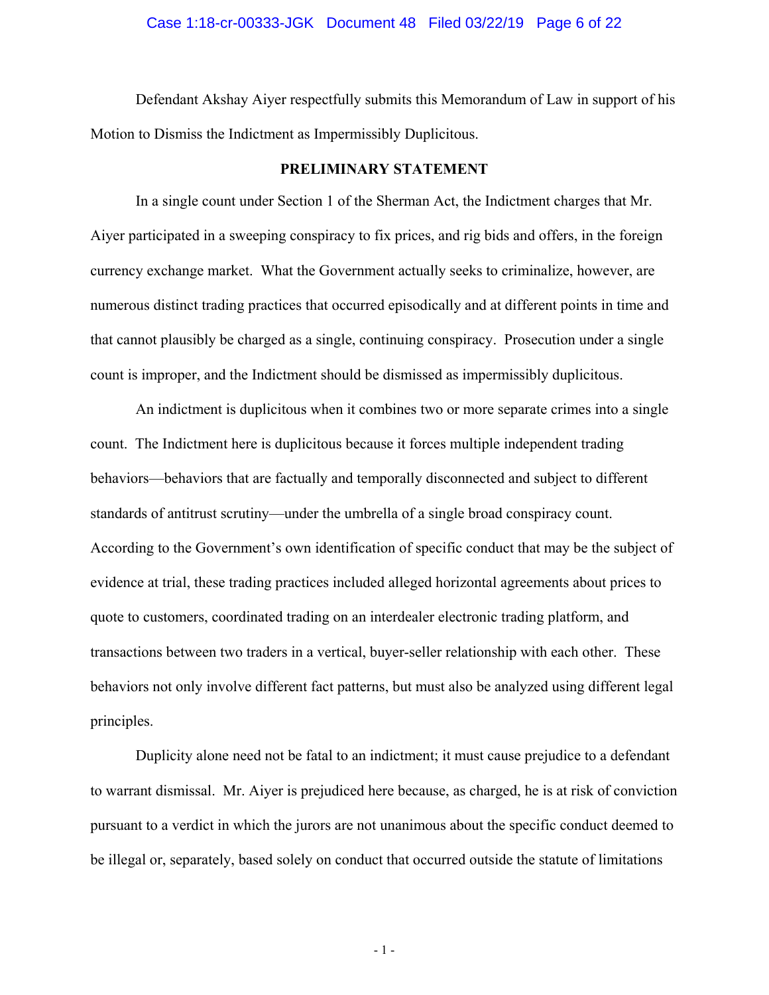#### Case 1:18-cr-00333-JGK Document 48 Filed 03/22/19 Page 6 of 22

Defendant Akshay Aiyer respectfully submits this Memorandum of Law in support of his Motion to Dismiss the Indictment as Impermissibly Duplicitous.

## **PRELIMINARY STATEMENT**

In a single count under Section 1 of the Sherman Act, the Indictment charges that Mr. Aiyer participated in a sweeping conspiracy to fix prices, and rig bids and offers, in the foreign currency exchange market. What the Government actually seeks to criminalize, however, are numerous distinct trading practices that occurred episodically and at different points in time and that cannot plausibly be charged as a single, continuing conspiracy. Prosecution under a single count is improper, and the Indictment should be dismissed as impermissibly duplicitous.

An indictment is duplicitous when it combines two or more separate crimes into a single count. The Indictment here is duplicitous because it forces multiple independent trading behaviors—behaviors that are factually and temporally disconnected and subject to different standards of antitrust scrutiny—under the umbrella of a single broad conspiracy count. According to the Government's own identification of specific conduct that may be the subject of evidence at trial, these trading practices included alleged horizontal agreements about prices to quote to customers, coordinated trading on an interdealer electronic trading platform, and transactions between two traders in a vertical, buyer-seller relationship with each other. These behaviors not only involve different fact patterns, but must also be analyzed using different legal principles.

Duplicity alone need not be fatal to an indictment; it must cause prejudice to a defendant to warrant dismissal. Mr. Aiyer is prejudiced here because, as charged, he is at risk of conviction pursuant to a verdict in which the jurors are not unanimous about the specific conduct deemed to be illegal or, separately, based solely on conduct that occurred outside the statute of limitations

- 1 -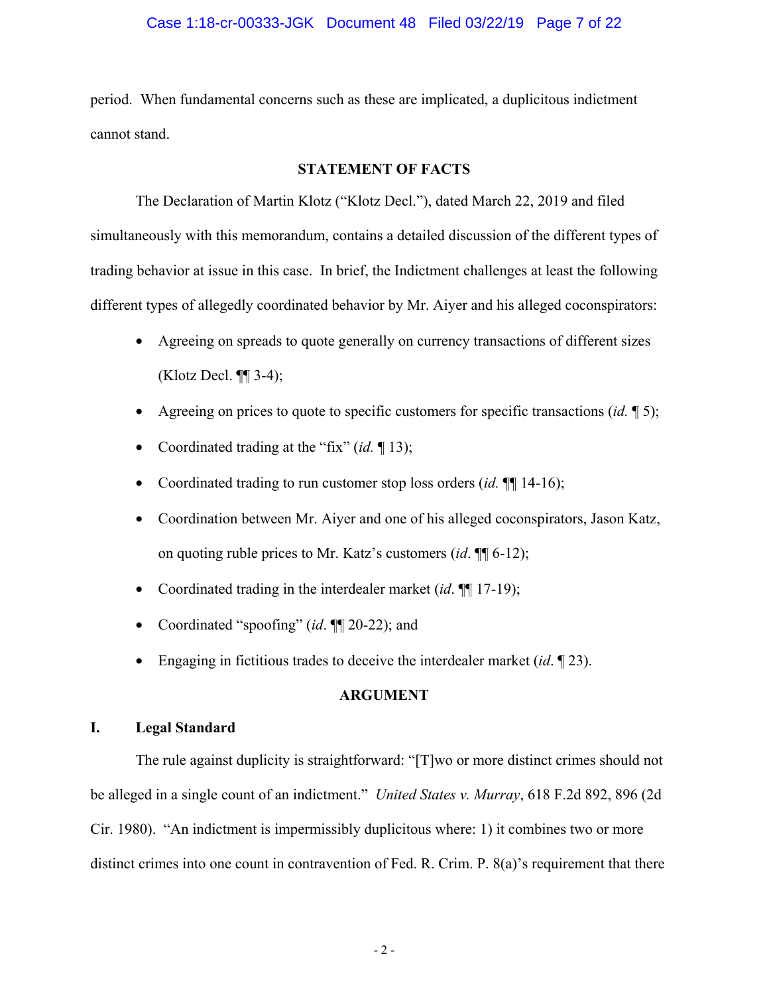## Case 1:18-cr-00333-JGK Document 48 Filed 03/22/19 Page 7 of 22

period. When fundamental concerns such as these are implicated, a duplicitous indictment cannot stand.

## **STATEMENT OF FACTS**

The Declaration of Martin Klotz ("Klotz Decl."), dated March 22, 2019 and filed simultaneously with this memorandum, contains a detailed discussion of the different types of trading behavior at issue in this case. In brief, the Indictment challenges at least the following different types of allegedly coordinated behavior by Mr. Aiyer and his alleged coconspirators:

- Agreeing on spreads to quote generally on currency transactions of different sizes (Klotz Decl.  $\P\P$  3-4);
- Agreeing on prices to quote to specific customers for specific transactions (*id.* ¶ 5);
- Coordinated trading at the "fix" (*id.* 13);
- Coordinated trading to run customer stop loss orders *(id.*  $\P$  14-16);
- Coordination between Mr. Aiyer and one of his alleged coconspirators, Jason Katz, on quoting ruble prices to Mr. Katz's customers (*id*. ¶¶ 6-12);
- Coordinated trading in the interdealer market (*id*. ¶¶ 17-19);
- Coordinated "spoofing" (*id*. ¶¶ 20-22); and
- Engaging in fictitious trades to deceive the interdealer market (*id*. ¶ 23).

## **ARGUMENT**

# **I. Legal Standard**

The rule against duplicity is straightforward: "[T]wo or more distinct crimes should not be alleged in a single count of an indictment." *United States v. Murray*, 618 F.2d 892, 896 (2d Cir. 1980). "An indictment is impermissibly duplicitous where: 1) it combines two or more distinct crimes into one count in contravention of Fed. R. Crim. P. 8(a)'s requirement that there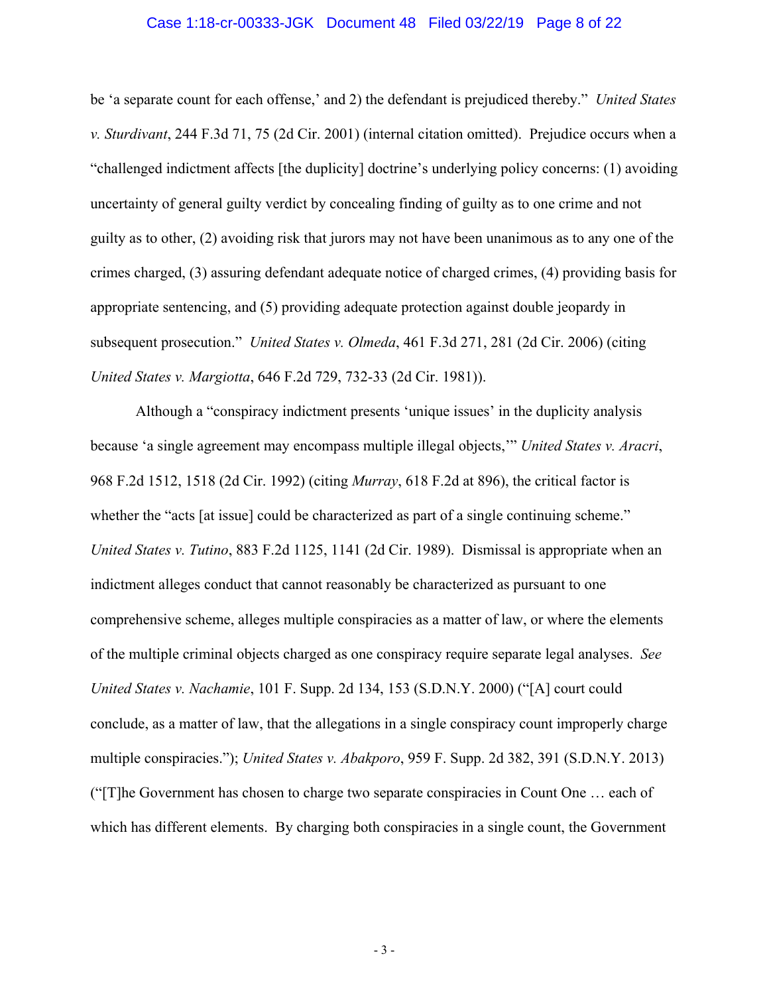### Case 1:18-cr-00333-JGK Document 48 Filed 03/22/19 Page 8 of 22

be 'a separate count for each offense,' and 2) the defendant is prejudiced thereby." *United States v. Sturdivant*, 244 F.3d 71, 75 (2d Cir. 2001) (internal citation omitted). Prejudice occurs when a "challenged indictment affects [the duplicity] doctrine's underlying policy concerns: (1) avoiding uncertainty of general guilty verdict by concealing finding of guilty as to one crime and not guilty as to other, (2) avoiding risk that jurors may not have been unanimous as to any one of the crimes charged, (3) assuring defendant adequate notice of charged crimes, (4) providing basis for appropriate sentencing, and (5) providing adequate protection against double jeopardy in subsequent prosecution." *United States v. Olmeda*, 461 F.3d 271, 281 (2d Cir. 2006) (citing *United States v. Margiotta*, 646 F.2d 729, 732-33 (2d Cir. 1981)).

Although a "conspiracy indictment presents 'unique issues' in the duplicity analysis because 'a single agreement may encompass multiple illegal objects,'" *United States v. Aracri*, 968 F.2d 1512, 1518 (2d Cir. 1992) (citing *Murray*, 618 F.2d at 896), the critical factor is whether the "acts [at issue] could be characterized as part of a single continuing scheme." *United States v. Tutino*, 883 F.2d 1125, 1141 (2d Cir. 1989). Dismissal is appropriate when an indictment alleges conduct that cannot reasonably be characterized as pursuant to one comprehensive scheme, alleges multiple conspiracies as a matter of law, or where the elements of the multiple criminal objects charged as one conspiracy require separate legal analyses. *See United States v. Nachamie*, 101 F. Supp. 2d 134, 153 (S.D.N.Y. 2000) ("[A] court could conclude, as a matter of law, that the allegations in a single conspiracy count improperly charge multiple conspiracies."); *United States v. Abakporo*, 959 F. Supp. 2d 382, 391 (S.D.N.Y. 2013) ("[T]he Government has chosen to charge two separate conspiracies in Count One … each of which has different elements. By charging both conspiracies in a single count, the Government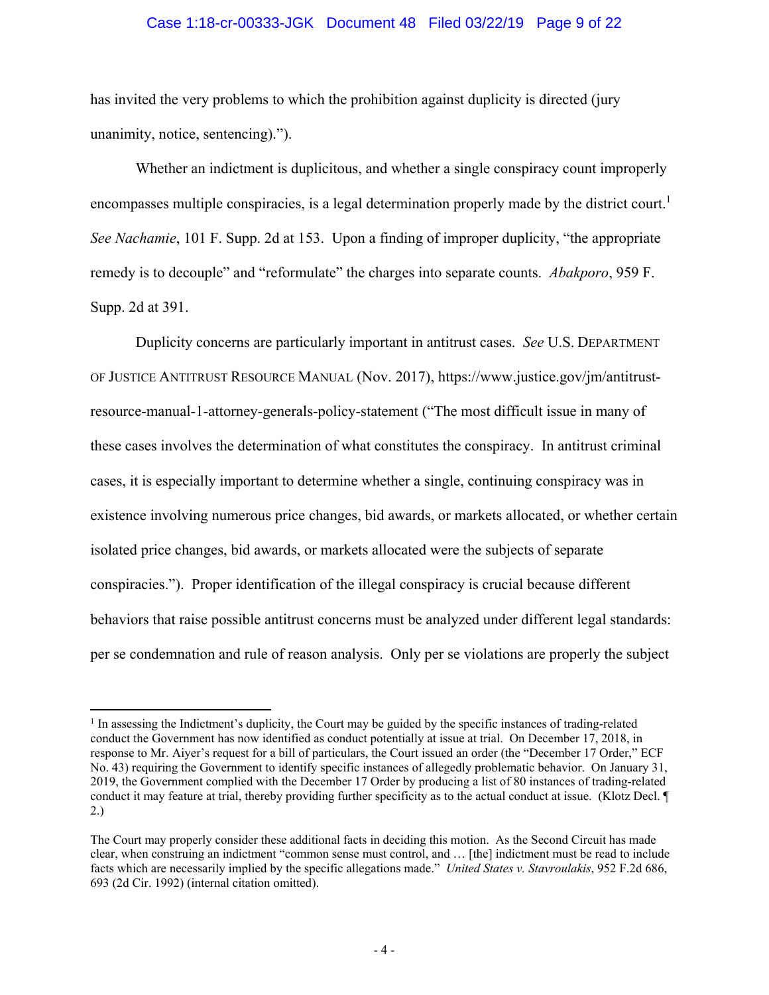### Case 1:18-cr-00333-JGK Document 48 Filed 03/22/19 Page 9 of 22

has invited the very problems to which the prohibition against duplicity is directed (jury unanimity, notice, sentencing).").

Whether an indictment is duplicitous, and whether a single conspiracy count improperly encompasses multiple conspiracies, is a legal determination properly made by the district court.<sup>1</sup> *See Nachamie*, 101 F. Supp. 2d at 153. Upon a finding of improper duplicity, "the appropriate remedy is to decouple" and "reformulate" the charges into separate counts. *Abakporo*, 959 F. Supp. 2d at 391.

Duplicity concerns are particularly important in antitrust cases. *See* U.S. DEPARTMENT OF JUSTICE ANTITRUST RESOURCE MANUAL (Nov. 2017), https://www.justice.gov/jm/antitrustresource-manual-1-attorney-generals-policy-statement ("The most difficult issue in many of these cases involves the determination of what constitutes the conspiracy. In antitrust criminal cases, it is especially important to determine whether a single, continuing conspiracy was in existence involving numerous price changes, bid awards, or markets allocated, or whether certain isolated price changes, bid awards, or markets allocated were the subjects of separate conspiracies."). Proper identification of the illegal conspiracy is crucial because different behaviors that raise possible antitrust concerns must be analyzed under different legal standards: per se condemnation and rule of reason analysis. Only per se violations are properly the subject

 $\overline{a}$ 

<sup>&</sup>lt;sup>1</sup> In assessing the Indictment's duplicity, the Court may be guided by the specific instances of trading-related conduct the Government has now identified as conduct potentially at issue at trial. On December 17, 2018, in response to Mr. Aiyer's request for a bill of particulars, the Court issued an order (the "December 17 Order," ECF No. 43) requiring the Government to identify specific instances of allegedly problematic behavior. On January 31, 2019, the Government complied with the December 17 Order by producing a list of 80 instances of trading-related conduct it may feature at trial, thereby providing further specificity as to the actual conduct at issue. (Klotz Decl. ¶ 2.)

The Court may properly consider these additional facts in deciding this motion. As the Second Circuit has made clear, when construing an indictment "common sense must control, and … [the] indictment must be read to include facts which are necessarily implied by the specific allegations made." *United States v. Stavroulakis*, 952 F.2d 686, 693 (2d Cir. 1992) (internal citation omitted).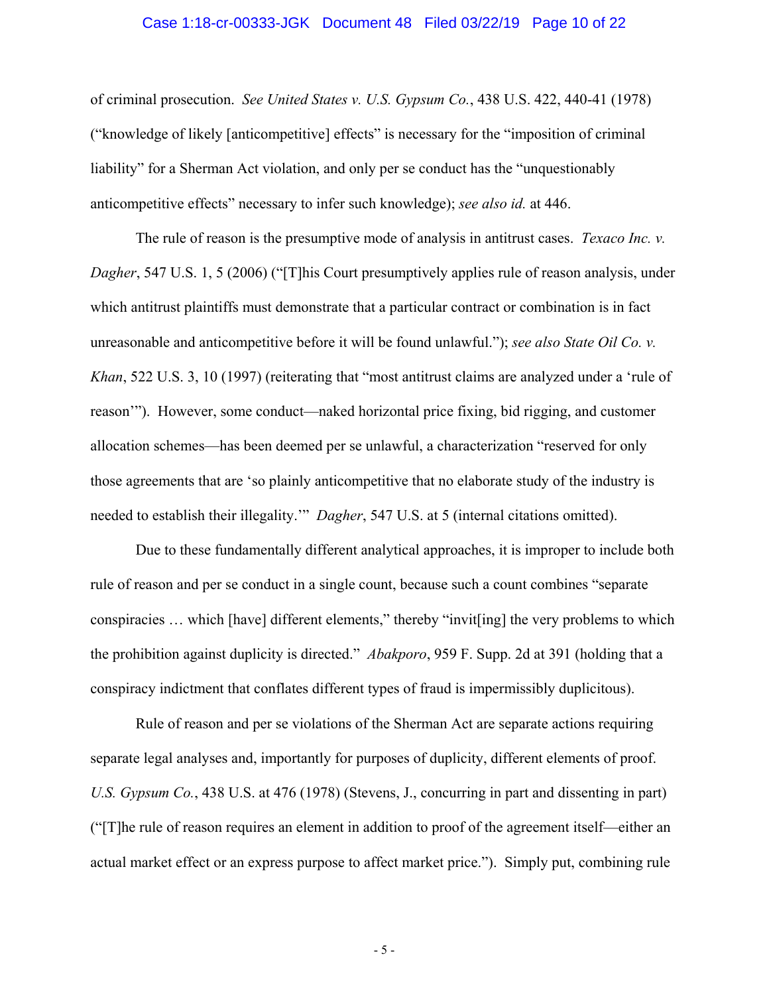## Case 1:18-cr-00333-JGK Document 48 Filed 03/22/19 Page 10 of 22

of criminal prosecution. *See United States v. U.S. Gypsum Co.*, 438 U.S. 422, 440-41 (1978) ("knowledge of likely [anticompetitive] effects" is necessary for the "imposition of criminal liability" for a Sherman Act violation, and only per se conduct has the "unquestionably anticompetitive effects" necessary to infer such knowledge); *see also id.* at 446.

The rule of reason is the presumptive mode of analysis in antitrust cases. *Texaco Inc. v. Dagher*, 547 U.S. 1, 5 (2006) ("This Court presumptively applies rule of reason analysis, under which antitrust plaintiffs must demonstrate that a particular contract or combination is in fact unreasonable and anticompetitive before it will be found unlawful."); *see also State Oil Co. v. Khan*, 522 U.S. 3, 10 (1997) (reiterating that "most antitrust claims are analyzed under a 'rule of reason'"). However, some conduct—naked horizontal price fixing, bid rigging, and customer allocation schemes—has been deemed per se unlawful, a characterization "reserved for only those agreements that are 'so plainly anticompetitive that no elaborate study of the industry is needed to establish their illegality.'" *Dagher*, 547 U.S. at 5 (internal citations omitted).

Due to these fundamentally different analytical approaches, it is improper to include both rule of reason and per se conduct in a single count, because such a count combines "separate conspiracies … which [have] different elements," thereby "invit[ing] the very problems to which the prohibition against duplicity is directed." *Abakporo*, 959 F. Supp. 2d at 391 (holding that a conspiracy indictment that conflates different types of fraud is impermissibly duplicitous).

Rule of reason and per se violations of the Sherman Act are separate actions requiring separate legal analyses and, importantly for purposes of duplicity, different elements of proof. *U.S. Gypsum Co.*, 438 U.S. at 476 (1978) (Stevens, J., concurring in part and dissenting in part) ("[T]he rule of reason requires an element in addition to proof of the agreement itself—either an actual market effect or an express purpose to affect market price."). Simply put, combining rule

- 5 -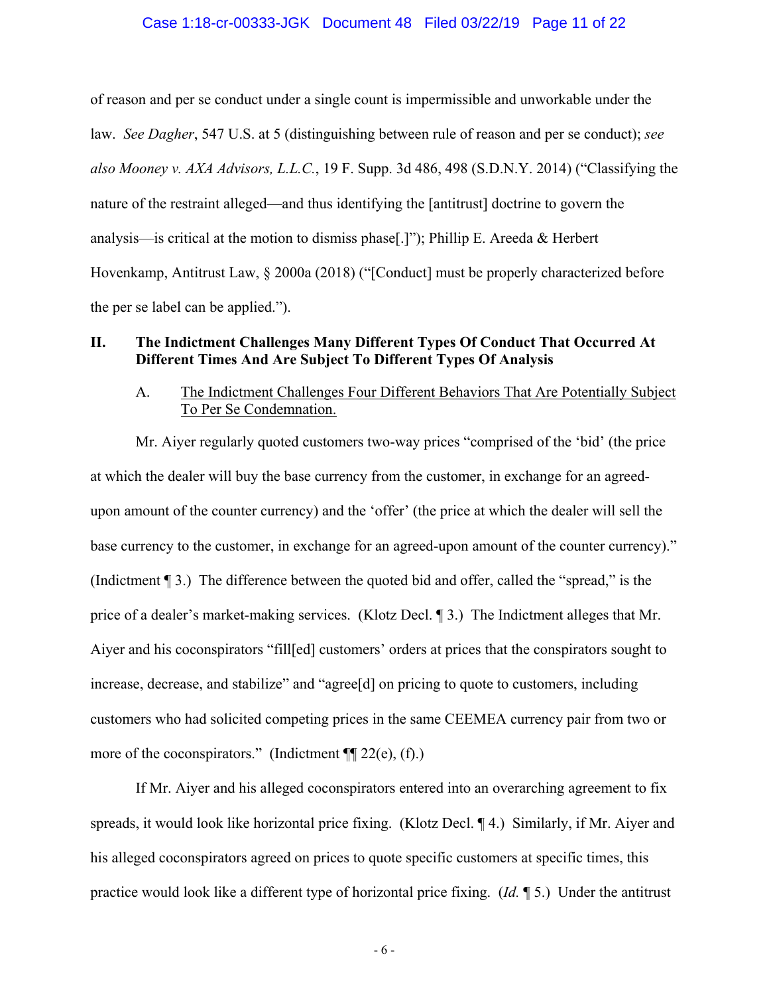of reason and per se conduct under a single count is impermissible and unworkable under the law. *See Dagher*, 547 U.S. at 5 (distinguishing between rule of reason and per se conduct); *see also Mooney v. AXA Advisors, L.L.C.*, 19 F. Supp. 3d 486, 498 (S.D.N.Y. 2014) ("Classifying the nature of the restraint alleged—and thus identifying the [antitrust] doctrine to govern the analysis—is critical at the motion to dismiss phase[.]"); Phillip E. Areeda & Herbert Hovenkamp, Antitrust Law, § 2000a (2018) ("[Conduct] must be properly characterized before the per se label can be applied.").

# **II. The Indictment Challenges Many Different Types Of Conduct That Occurred At Different Times And Are Subject To Different Types Of Analysis**

# A. The Indictment Challenges Four Different Behaviors That Are Potentially Subject To Per Se Condemnation.

Mr. Aiyer regularly quoted customers two-way prices "comprised of the 'bid' (the price at which the dealer will buy the base currency from the customer, in exchange for an agreedupon amount of the counter currency) and the 'offer' (the price at which the dealer will sell the base currency to the customer, in exchange for an agreed-upon amount of the counter currency)." (Indictment ¶ 3.) The difference between the quoted bid and offer, called the "spread," is the price of a dealer's market-making services. (Klotz Decl. ¶ 3.) The Indictment alleges that Mr. Aiyer and his coconspirators "fill[ed] customers' orders at prices that the conspirators sought to increase, decrease, and stabilize" and "agree[d] on pricing to quote to customers, including customers who had solicited competing prices in the same CEEMEA currency pair from two or more of the coconspirators." (Indictment  $\P$ [22(e), (f).)

If Mr. Aiyer and his alleged coconspirators entered into an overarching agreement to fix spreads, it would look like horizontal price fixing. (Klotz Decl. ¶ 4.) Similarly, if Mr. Aiyer and his alleged coconspirators agreed on prices to quote specific customers at specific times, this practice would look like a different type of horizontal price fixing. (*Id.* ¶ 5.) Under the antitrust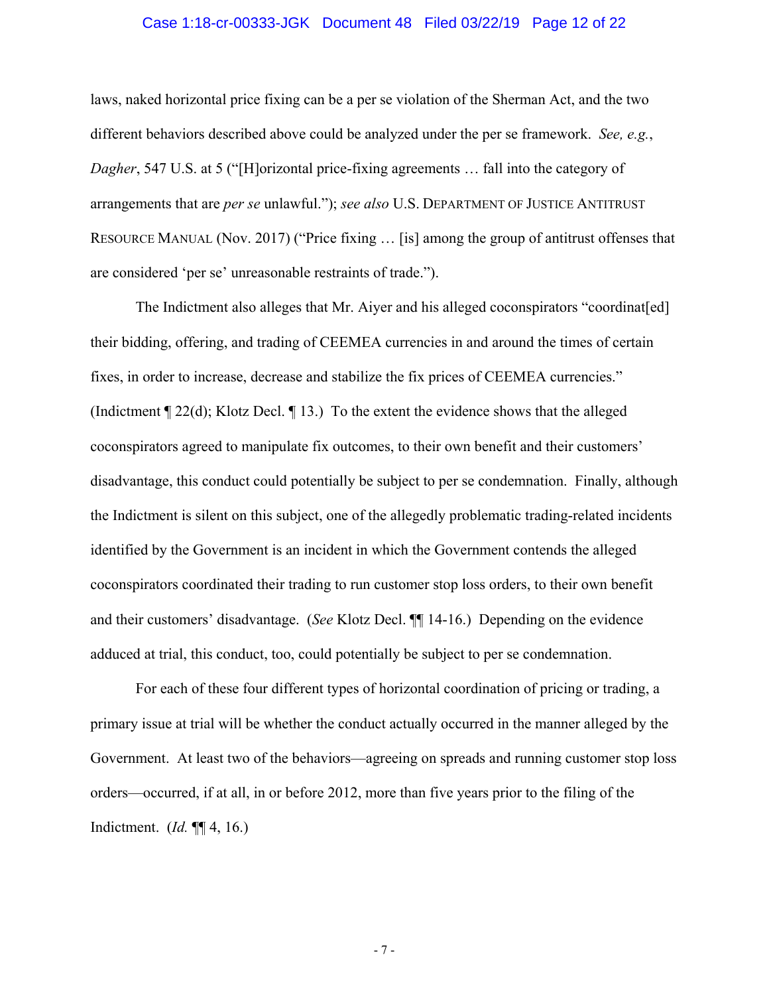### Case 1:18-cr-00333-JGK Document 48 Filed 03/22/19 Page 12 of 22

laws, naked horizontal price fixing can be a per se violation of the Sherman Act, and the two different behaviors described above could be analyzed under the per se framework. *See, e.g.*, *Dagher*, 547 U.S. at 5 ("[H]orizontal price-fixing agreements ... fall into the category of arrangements that are *per se* unlawful."); *see also* U.S. DEPARTMENT OF JUSTICE ANTITRUST RESOURCE MANUAL (Nov. 2017) ("Price fixing … [is] among the group of antitrust offenses that are considered 'per se' unreasonable restraints of trade.").

The Indictment also alleges that Mr. Aiyer and his alleged coconspirators "coordinat[ed] their bidding, offering, and trading of CEEMEA currencies in and around the times of certain fixes, in order to increase, decrease and stabilize the fix prices of CEEMEA currencies." (Indictment ¶ 22(d); Klotz Decl. ¶ 13.) To the extent the evidence shows that the alleged coconspirators agreed to manipulate fix outcomes, to their own benefit and their customers' disadvantage, this conduct could potentially be subject to per se condemnation. Finally, although the Indictment is silent on this subject, one of the allegedly problematic trading-related incidents identified by the Government is an incident in which the Government contends the alleged coconspirators coordinated their trading to run customer stop loss orders, to their own benefit and their customers' disadvantage. (*See* Klotz Decl. ¶¶ 14-16.) Depending on the evidence adduced at trial, this conduct, too, could potentially be subject to per se condemnation.

For each of these four different types of horizontal coordination of pricing or trading, a primary issue at trial will be whether the conduct actually occurred in the manner alleged by the Government. At least two of the behaviors—agreeing on spreads and running customer stop loss orders—occurred, if at all, in or before 2012, more than five years prior to the filing of the Indictment. (*Id.* ¶¶ 4, 16.)

- 7 -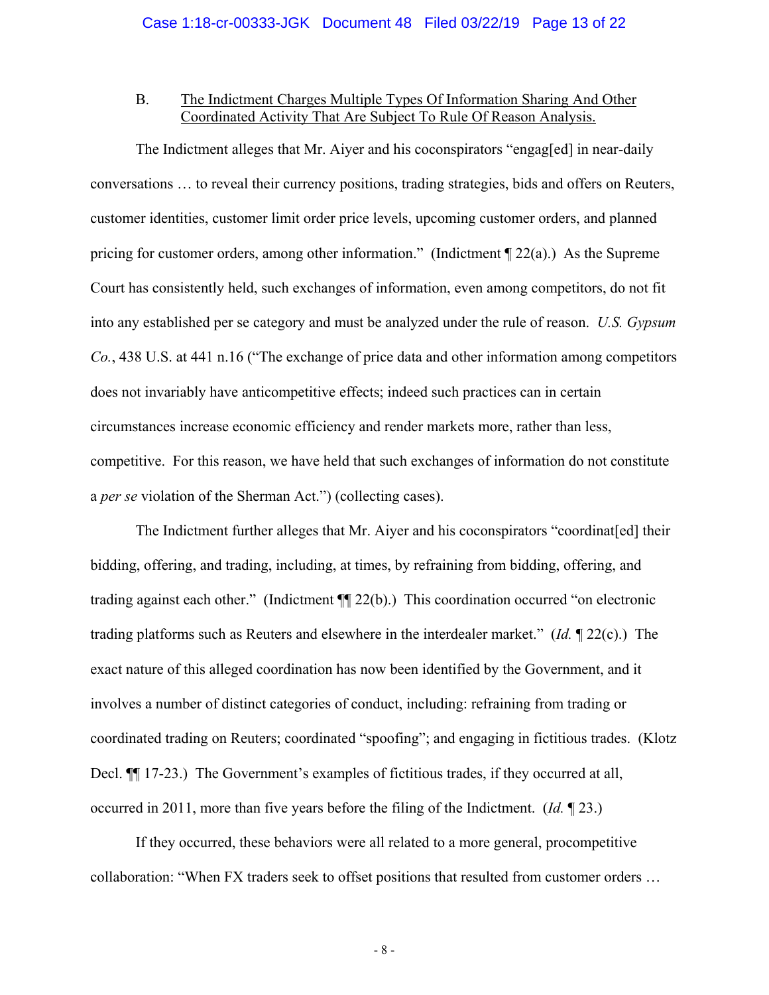# B. The Indictment Charges Multiple Types Of Information Sharing And Other Coordinated Activity That Are Subject To Rule Of Reason Analysis.

The Indictment alleges that Mr. Aiyer and his coconspirators "engag[ed] in near-daily conversations … to reveal their currency positions, trading strategies, bids and offers on Reuters, customer identities, customer limit order price levels, upcoming customer orders, and planned pricing for customer orders, among other information." (Indictment  $\P$  22(a).) As the Supreme Court has consistently held, such exchanges of information, even among competitors, do not fit into any established per se category and must be analyzed under the rule of reason. *U.S. Gypsum Co.*, 438 U.S. at 441 n.16 ("The exchange of price data and other information among competitors does not invariably have anticompetitive effects; indeed such practices can in certain circumstances increase economic efficiency and render markets more, rather than less, competitive. For this reason, we have held that such exchanges of information do not constitute a *per se* violation of the Sherman Act.") (collecting cases).

The Indictment further alleges that Mr. Aiyer and his coconspirators "coordinat[ed] their bidding, offering, and trading, including, at times, by refraining from bidding, offering, and trading against each other." (Indictment ¶¶ 22(b).) This coordination occurred "on electronic trading platforms such as Reuters and elsewhere in the interdealer market." (*Id.* ¶ 22(c).) The exact nature of this alleged coordination has now been identified by the Government, and it involves a number of distinct categories of conduct, including: refraining from trading or coordinated trading on Reuters; coordinated "spoofing"; and engaging in fictitious trades. (Klotz Decl. ¶¶ 17-23.) The Government's examples of fictitious trades, if they occurred at all, occurred in 2011, more than five years before the filing of the Indictment. (*Id.* ¶ 23.)

If they occurred, these behaviors were all related to a more general, procompetitive collaboration: "When FX traders seek to offset positions that resulted from customer orders …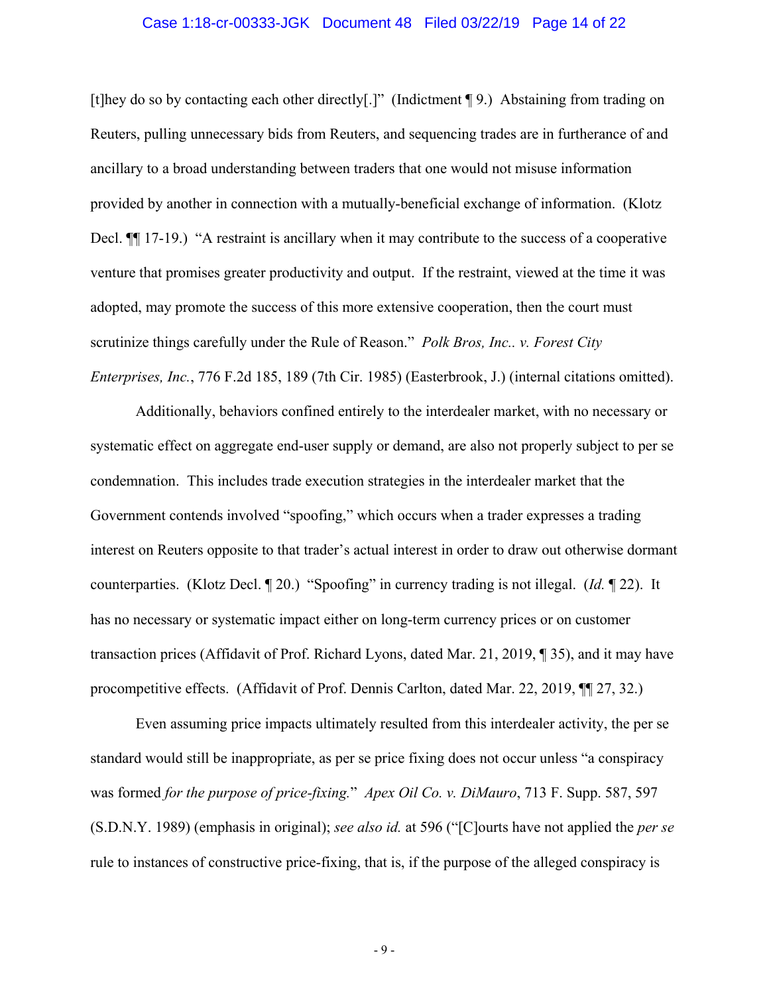## Case 1:18-cr-00333-JGK Document 48 Filed 03/22/19 Page 14 of 22

[t]hey do so by contacting each other directly[.]" (Indictment ¶ 9.) Abstaining from trading on Reuters, pulling unnecessary bids from Reuters, and sequencing trades are in furtherance of and ancillary to a broad understanding between traders that one would not misuse information provided by another in connection with a mutually-beneficial exchange of information. (Klotz Decl. **[14]** 17-19.) "A restraint is ancillary when it may contribute to the success of a cooperative venture that promises greater productivity and output. If the restraint, viewed at the time it was adopted, may promote the success of this more extensive cooperation, then the court must scrutinize things carefully under the Rule of Reason." *Polk Bros, Inc.. v. Forest City Enterprises, Inc.*, 776 F.2d 185, 189 (7th Cir. 1985) (Easterbrook, J.) (internal citations omitted).

Additionally, behaviors confined entirely to the interdealer market, with no necessary or systematic effect on aggregate end-user supply or demand, are also not properly subject to per se condemnation. This includes trade execution strategies in the interdealer market that the Government contends involved "spoofing," which occurs when a trader expresses a trading interest on Reuters opposite to that trader's actual interest in order to draw out otherwise dormant counterparties. (Klotz Decl. ¶ 20.) "Spoofing" in currency trading is not illegal. (*Id.* ¶ 22). It has no necessary or systematic impact either on long-term currency prices or on customer transaction prices (Affidavit of Prof. Richard Lyons, dated Mar. 21, 2019, ¶ 35), and it may have procompetitive effects. (Affidavit of Prof. Dennis Carlton, dated Mar. 22, 2019, ¶¶ 27, 32.)

Even assuming price impacts ultimately resulted from this interdealer activity, the per se standard would still be inappropriate, as per se price fixing does not occur unless "a conspiracy was formed *for the purpose of price-fixing.*" *Apex Oil Co. v. DiMauro*, 713 F. Supp. 587, 597 (S.D.N.Y. 1989) (emphasis in original); *see also id.* at 596 ("[C]ourts have not applied the *per se* rule to instances of constructive price-fixing, that is, if the purpose of the alleged conspiracy is

- 9 -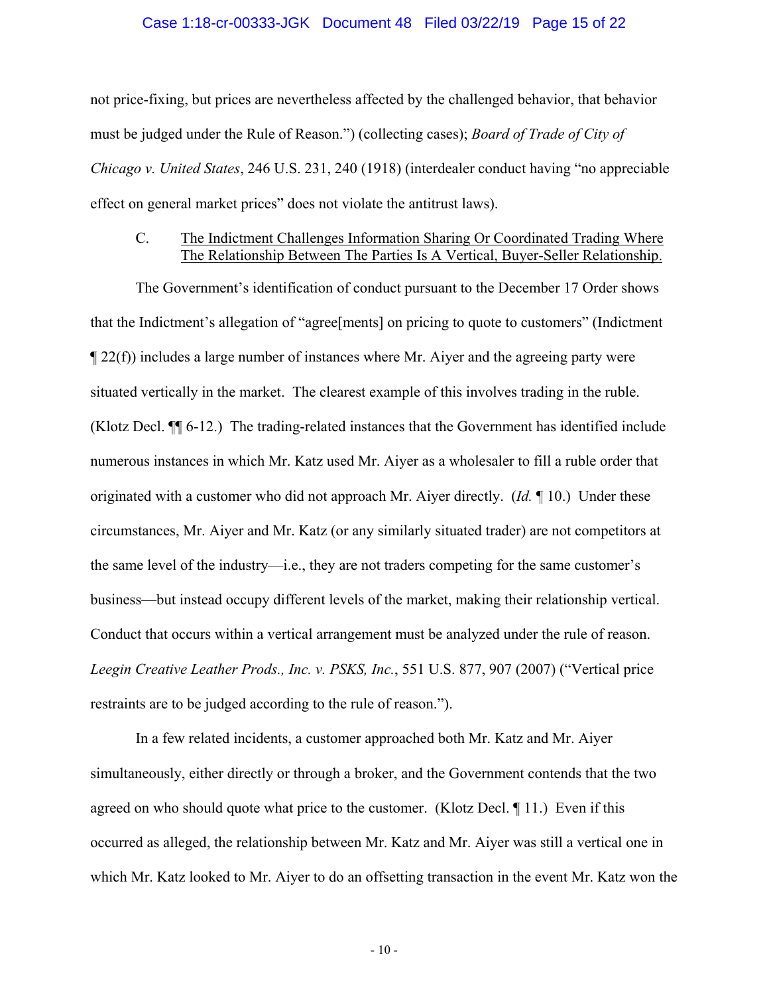### Case 1:18-cr-00333-JGK Document 48 Filed 03/22/19 Page 15 of 22

not price-fixing, but prices are nevertheless affected by the challenged behavior, that behavior must be judged under the Rule of Reason.") (collecting cases); *Board of Trade of City of Chicago v. United States*, 246 U.S. 231, 240 (1918) (interdealer conduct having "no appreciable effect on general market prices" does not violate the antitrust laws).

## C. The Indictment Challenges Information Sharing Or Coordinated Trading Where The Relationship Between The Parties Is A Vertical, Buyer-Seller Relationship.

The Government's identification of conduct pursuant to the December 17 Order shows that the Indictment's allegation of "agree[ments] on pricing to quote to customers" (Indictment ¶ 22(f)) includes a large number of instances where Mr. Aiyer and the agreeing party were situated vertically in the market. The clearest example of this involves trading in the ruble. (Klotz Decl. ¶¶ 6-12.) The trading-related instances that the Government has identified include numerous instances in which Mr. Katz used Mr. Aiyer as a wholesaler to fill a ruble order that originated with a customer who did not approach Mr. Aiyer directly. (*Id.* ¶ 10.) Under these circumstances, Mr. Aiyer and Mr. Katz (or any similarly situated trader) are not competitors at the same level of the industry—i.e., they are not traders competing for the same customer's business—but instead occupy different levels of the market, making their relationship vertical. Conduct that occurs within a vertical arrangement must be analyzed under the rule of reason. *Leegin Creative Leather Prods., Inc. v. PSKS, Inc.*, 551 U.S. 877, 907 (2007) ("Vertical price restraints are to be judged according to the rule of reason.").

In a few related incidents, a customer approached both Mr. Katz and Mr. Aiyer simultaneously, either directly or through a broker, and the Government contends that the two agreed on who should quote what price to the customer. (Klotz Decl. ¶ 11.) Even if this occurred as alleged, the relationship between Mr. Katz and Mr. Aiyer was still a vertical one in which Mr. Katz looked to Mr. Aiyer to do an offsetting transaction in the event Mr. Katz won the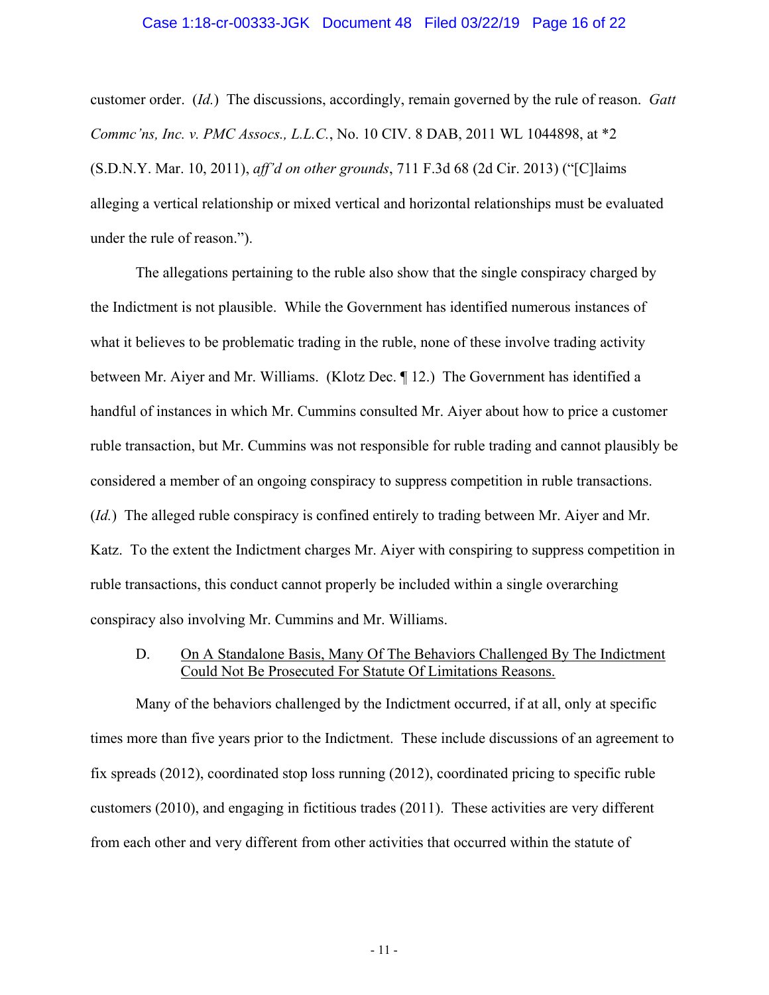customer order. (*Id.*) The discussions, accordingly, remain governed by the rule of reason. *Gatt Commc'ns, Inc. v. PMC Assocs., L.L.C.*, No. 10 CIV. 8 DAB, 2011 WL 1044898, at \*2 (S.D.N.Y. Mar. 10, 2011), *aff'd on other grounds*, 711 F.3d 68 (2d Cir. 2013) ("[C]laims alleging a vertical relationship or mixed vertical and horizontal relationships must be evaluated under the rule of reason.").

The allegations pertaining to the ruble also show that the single conspiracy charged by the Indictment is not plausible. While the Government has identified numerous instances of what it believes to be problematic trading in the ruble, none of these involve trading activity between Mr. Aiyer and Mr. Williams. (Klotz Dec. ¶ 12.) The Government has identified a handful of instances in which Mr. Cummins consulted Mr. Aiyer about how to price a customer ruble transaction, but Mr. Cummins was not responsible for ruble trading and cannot plausibly be considered a member of an ongoing conspiracy to suppress competition in ruble transactions. (*Id.*) The alleged ruble conspiracy is confined entirely to trading between Mr. Aiyer and Mr. Katz. To the extent the Indictment charges Mr. Aiyer with conspiring to suppress competition in ruble transactions, this conduct cannot properly be included within a single overarching conspiracy also involving Mr. Cummins and Mr. Williams.

## D. On A Standalone Basis, Many Of The Behaviors Challenged By The Indictment Could Not Be Prosecuted For Statute Of Limitations Reasons.

Many of the behaviors challenged by the Indictment occurred, if at all, only at specific times more than five years prior to the Indictment. These include discussions of an agreement to fix spreads (2012), coordinated stop loss running (2012), coordinated pricing to specific ruble customers (2010), and engaging in fictitious trades (2011). These activities are very different from each other and very different from other activities that occurred within the statute of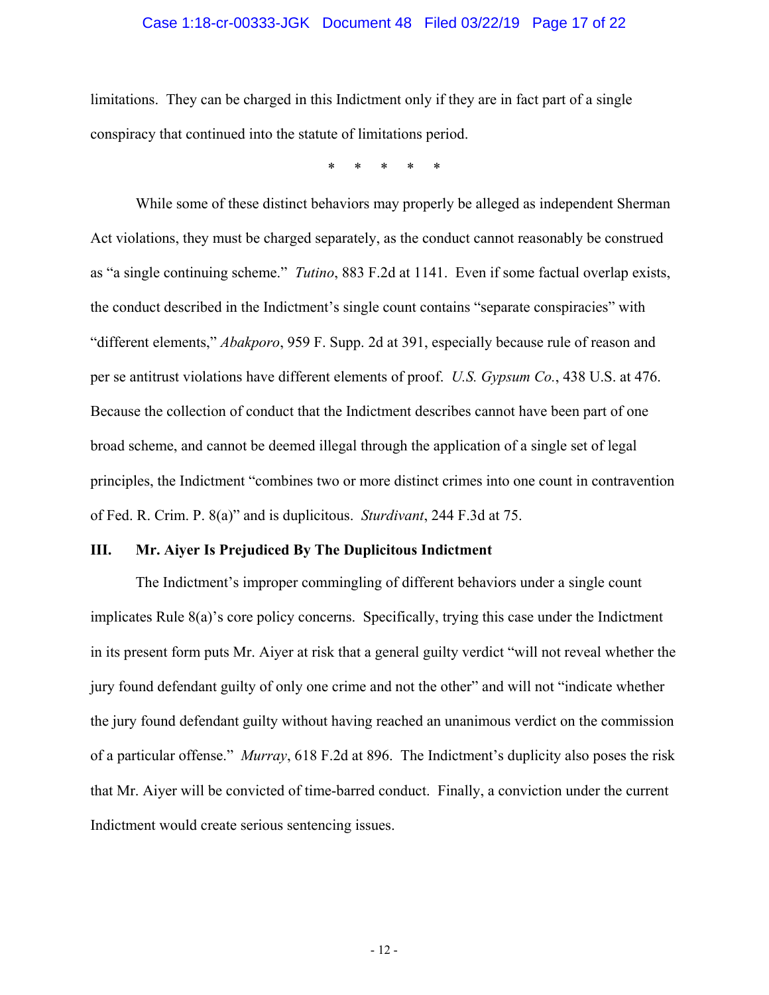## Case 1:18-cr-00333-JGK Document 48 Filed 03/22/19 Page 17 of 22

limitations. They can be charged in this Indictment only if they are in fact part of a single conspiracy that continued into the statute of limitations period.

\* \* \* \* \*

While some of these distinct behaviors may properly be alleged as independent Sherman Act violations, they must be charged separately, as the conduct cannot reasonably be construed as "a single continuing scheme." *Tutino*, 883 F.2d at 1141. Even if some factual overlap exists, the conduct described in the Indictment's single count contains "separate conspiracies" with "different elements," *Abakporo*, 959 F. Supp. 2d at 391, especially because rule of reason and per se antitrust violations have different elements of proof. *U.S. Gypsum Co.*, 438 U.S. at 476. Because the collection of conduct that the Indictment describes cannot have been part of one broad scheme, and cannot be deemed illegal through the application of a single set of legal principles, the Indictment "combines two or more distinct crimes into one count in contravention of Fed. R. Crim. P. 8(a)" and is duplicitous. *Sturdivant*, 244 F.3d at 75.

# **III. Mr. Aiyer Is Prejudiced By The Duplicitous Indictment**

The Indictment's improper commingling of different behaviors under a single count implicates Rule 8(a)'s core policy concerns. Specifically, trying this case under the Indictment in its present form puts Mr. Aiyer at risk that a general guilty verdict "will not reveal whether the jury found defendant guilty of only one crime and not the other" and will not "indicate whether the jury found defendant guilty without having reached an unanimous verdict on the commission of a particular offense." *Murray*, 618 F.2d at 896. The Indictment's duplicity also poses the risk that Mr. Aiyer will be convicted of time-barred conduct. Finally, a conviction under the current Indictment would create serious sentencing issues.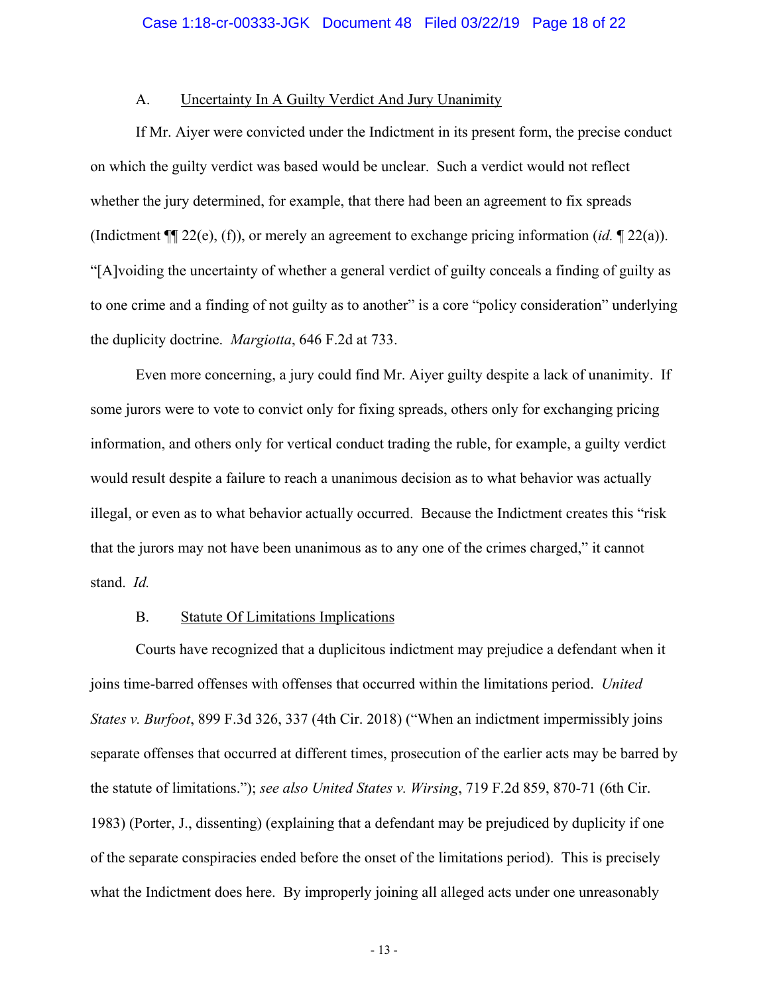## A. Uncertainty In A Guilty Verdict And Jury Unanimity

If Mr. Aiyer were convicted under the Indictment in its present form, the precise conduct on which the guilty verdict was based would be unclear. Such a verdict would not reflect whether the jury determined, for example, that there had been an agreement to fix spreads (Indictment ¶¶ 22(e), (f)), or merely an agreement to exchange pricing information (*id.* ¶ 22(a)). "[A]voiding the uncertainty of whether a general verdict of guilty conceals a finding of guilty as to one crime and a finding of not guilty as to another" is a core "policy consideration" underlying the duplicity doctrine. *Margiotta*, 646 F.2d at 733.

Even more concerning, a jury could find Mr. Aiyer guilty despite a lack of unanimity. If some jurors were to vote to convict only for fixing spreads, others only for exchanging pricing information, and others only for vertical conduct trading the ruble, for example, a guilty verdict would result despite a failure to reach a unanimous decision as to what behavior was actually illegal, or even as to what behavior actually occurred. Because the Indictment creates this "risk that the jurors may not have been unanimous as to any one of the crimes charged," it cannot stand. *Id.*

# B. Statute Of Limitations Implications

Courts have recognized that a duplicitous indictment may prejudice a defendant when it joins time-barred offenses with offenses that occurred within the limitations period. *United States v. Burfoot*, 899 F.3d 326, 337 (4th Cir. 2018) ("When an indictment impermissibly joins separate offenses that occurred at different times, prosecution of the earlier acts may be barred by the statute of limitations."); *see also United States v. Wirsing*, 719 F.2d 859, 870-71 (6th Cir. 1983) (Porter, J., dissenting) (explaining that a defendant may be prejudiced by duplicity if one of the separate conspiracies ended before the onset of the limitations period). This is precisely what the Indictment does here. By improperly joining all alleged acts under one unreasonably

- 13 -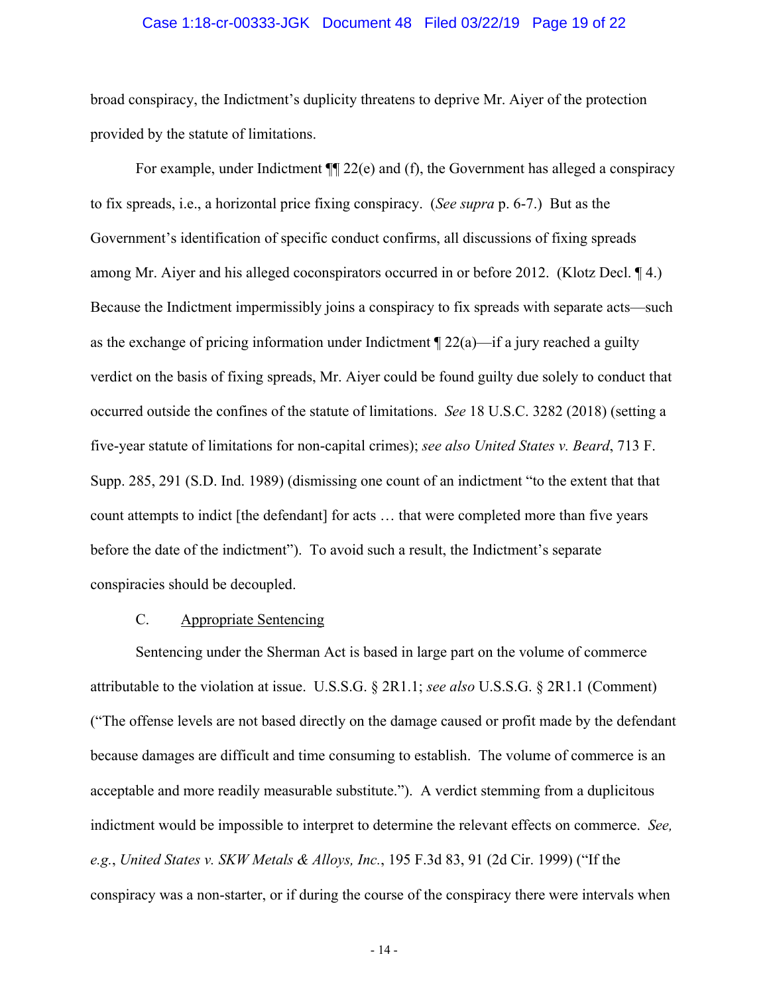### Case 1:18-cr-00333-JGK Document 48 Filed 03/22/19 Page 19 of 22

broad conspiracy, the Indictment's duplicity threatens to deprive Mr. Aiyer of the protection provided by the statute of limitations.

For example, under Indictment  $\P$ [22(e) and (f), the Government has alleged a conspiracy to fix spreads, i.e., a horizontal price fixing conspiracy. (*See supra* p. 6-7.) But as the Government's identification of specific conduct confirms, all discussions of fixing spreads among Mr. Aiyer and his alleged coconspirators occurred in or before 2012. (Klotz Decl. ¶ 4.) Because the Indictment impermissibly joins a conspiracy to fix spreads with separate acts—such as the exchange of pricing information under Indictment  $\P$  22(a)—if a jury reached a guilty verdict on the basis of fixing spreads, Mr. Aiyer could be found guilty due solely to conduct that occurred outside the confines of the statute of limitations. *See* 18 U.S.C. 3282 (2018) (setting a five-year statute of limitations for non-capital crimes); *see also United States v. Beard*, 713 F. Supp. 285, 291 (S.D. Ind. 1989) (dismissing one count of an indictment "to the extent that that count attempts to indict [the defendant] for acts … that were completed more than five years before the date of the indictment"). To avoid such a result, the Indictment's separate conspiracies should be decoupled.

## C. Appropriate Sentencing

Sentencing under the Sherman Act is based in large part on the volume of commerce attributable to the violation at issue. U.S.S.G. § 2R1.1; *see also* U.S.S.G. § 2R1.1 (Comment) ("The offense levels are not based directly on the damage caused or profit made by the defendant because damages are difficult and time consuming to establish. The volume of commerce is an acceptable and more readily measurable substitute."). A verdict stemming from a duplicitous indictment would be impossible to interpret to determine the relevant effects on commerce. *See, e.g.*, *United States v. SKW Metals & Alloys, Inc.*, 195 F.3d 83, 91 (2d Cir. 1999) ("If the conspiracy was a non-starter, or if during the course of the conspiracy there were intervals when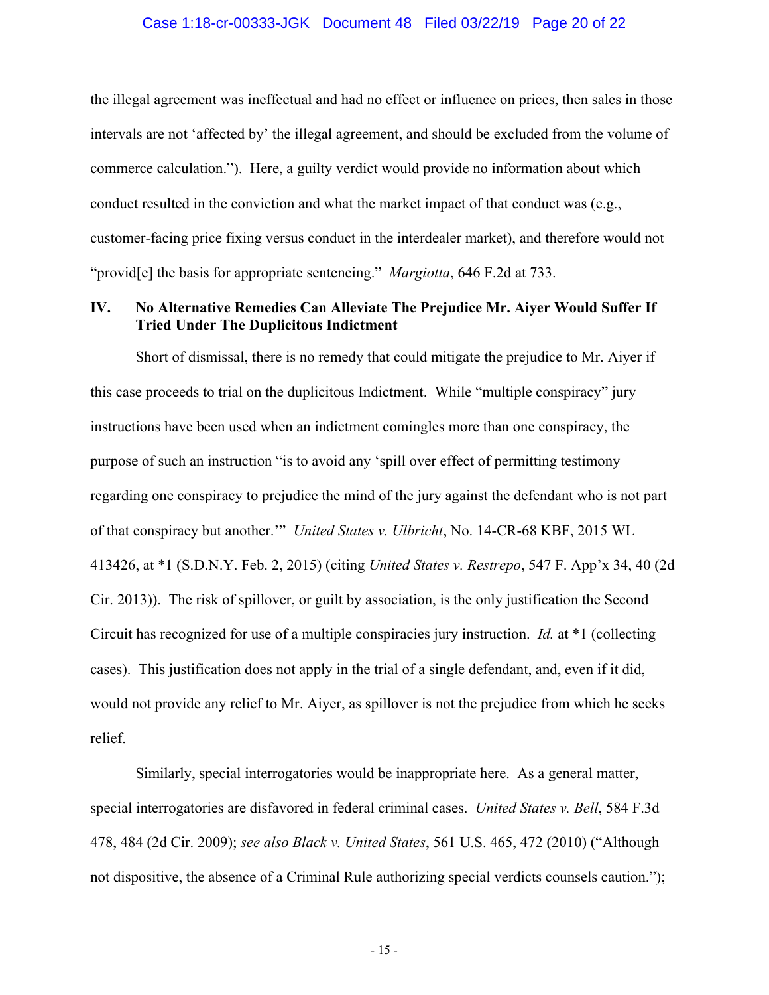### Case 1:18-cr-00333-JGK Document 48 Filed 03/22/19 Page 20 of 22

the illegal agreement was ineffectual and had no effect or influence on prices, then sales in those intervals are not 'affected by' the illegal agreement, and should be excluded from the volume of commerce calculation."). Here, a guilty verdict would provide no information about which conduct resulted in the conviction and what the market impact of that conduct was (e.g., customer-facing price fixing versus conduct in the interdealer market), and therefore would not "provid[e] the basis for appropriate sentencing." *Margiotta*, 646 F.2d at 733.

# **IV. No Alternative Remedies Can Alleviate The Prejudice Mr. Aiyer Would Suffer If Tried Under The Duplicitous Indictment**

Short of dismissal, there is no remedy that could mitigate the prejudice to Mr. Aiyer if this case proceeds to trial on the duplicitous Indictment. While "multiple conspiracy" jury instructions have been used when an indictment comingles more than one conspiracy, the purpose of such an instruction "is to avoid any 'spill over effect of permitting testimony regarding one conspiracy to prejudice the mind of the jury against the defendant who is not part of that conspiracy but another.'" *United States v. Ulbricht*, No. 14-CR-68 KBF, 2015 WL 413426, at \*1 (S.D.N.Y. Feb. 2, 2015) (citing *United States v. Restrepo*, 547 F. App'x 34, 40 (2d Cir. 2013)). The risk of spillover, or guilt by association, is the only justification the Second Circuit has recognized for use of a multiple conspiracies jury instruction. *Id.* at \*1 (collecting cases). This justification does not apply in the trial of a single defendant, and, even if it did, would not provide any relief to Mr. Aiyer, as spillover is not the prejudice from which he seeks relief.

Similarly, special interrogatories would be inappropriate here. As a general matter, special interrogatories are disfavored in federal criminal cases. *United States v. Bell*, 584 F.3d 478, 484 (2d Cir. 2009); *see also Black v. United States*, 561 U.S. 465, 472 (2010) ("Although not dispositive, the absence of a Criminal Rule authorizing special verdicts counsels caution.");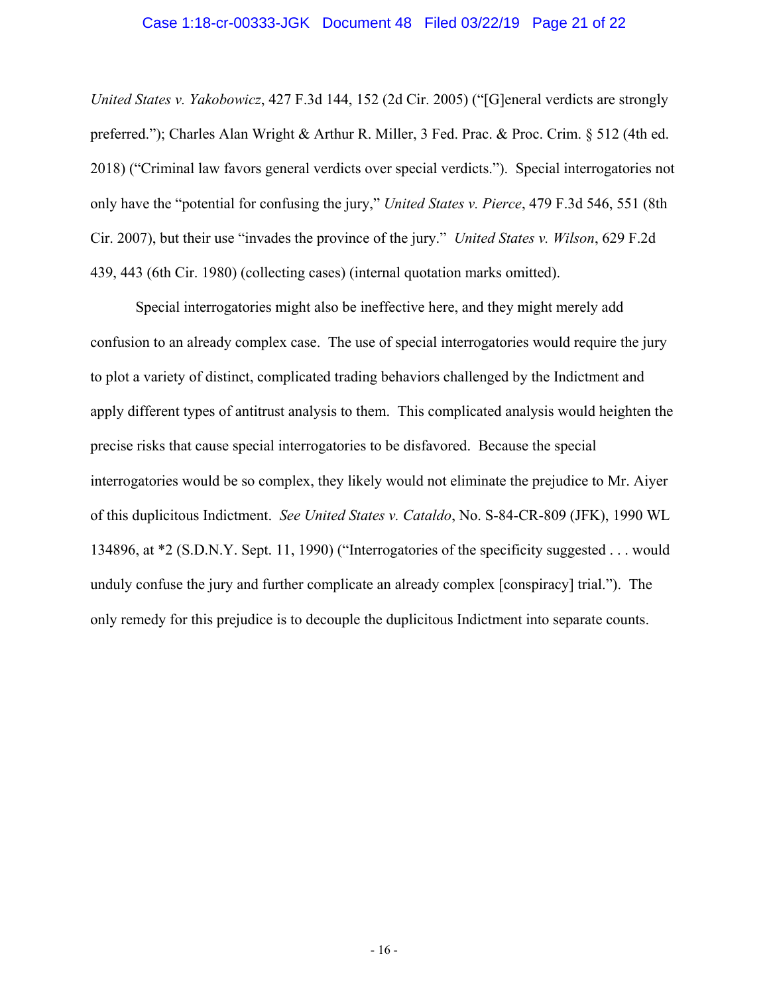### Case 1:18-cr-00333-JGK Document 48 Filed 03/22/19 Page 21 of 22

*United States v. Yakobowicz*, 427 F.3d 144, 152 (2d Cir. 2005) ("[G]eneral verdicts are strongly preferred."); Charles Alan Wright & Arthur R. Miller, 3 Fed. Prac. & Proc. Crim. § 512 (4th ed. 2018) ("Criminal law favors general verdicts over special verdicts."). Special interrogatories not only have the "potential for confusing the jury," *United States v. Pierce*, 479 F.3d 546, 551 (8th Cir. 2007), but their use "invades the province of the jury." *United States v. Wilson*, 629 F.2d 439, 443 (6th Cir. 1980) (collecting cases) (internal quotation marks omitted).

Special interrogatories might also be ineffective here, and they might merely add confusion to an already complex case. The use of special interrogatories would require the jury to plot a variety of distinct, complicated trading behaviors challenged by the Indictment and apply different types of antitrust analysis to them. This complicated analysis would heighten the precise risks that cause special interrogatories to be disfavored. Because the special interrogatories would be so complex, they likely would not eliminate the prejudice to Mr. Aiyer of this duplicitous Indictment. *See United States v. Cataldo*, No. S-84-CR-809 (JFK), 1990 WL 134896, at \*2 (S.D.N.Y. Sept. 11, 1990) ("Interrogatories of the specificity suggested . . . would unduly confuse the jury and further complicate an already complex [conspiracy] trial."). The only remedy for this prejudice is to decouple the duplicitous Indictment into separate counts.